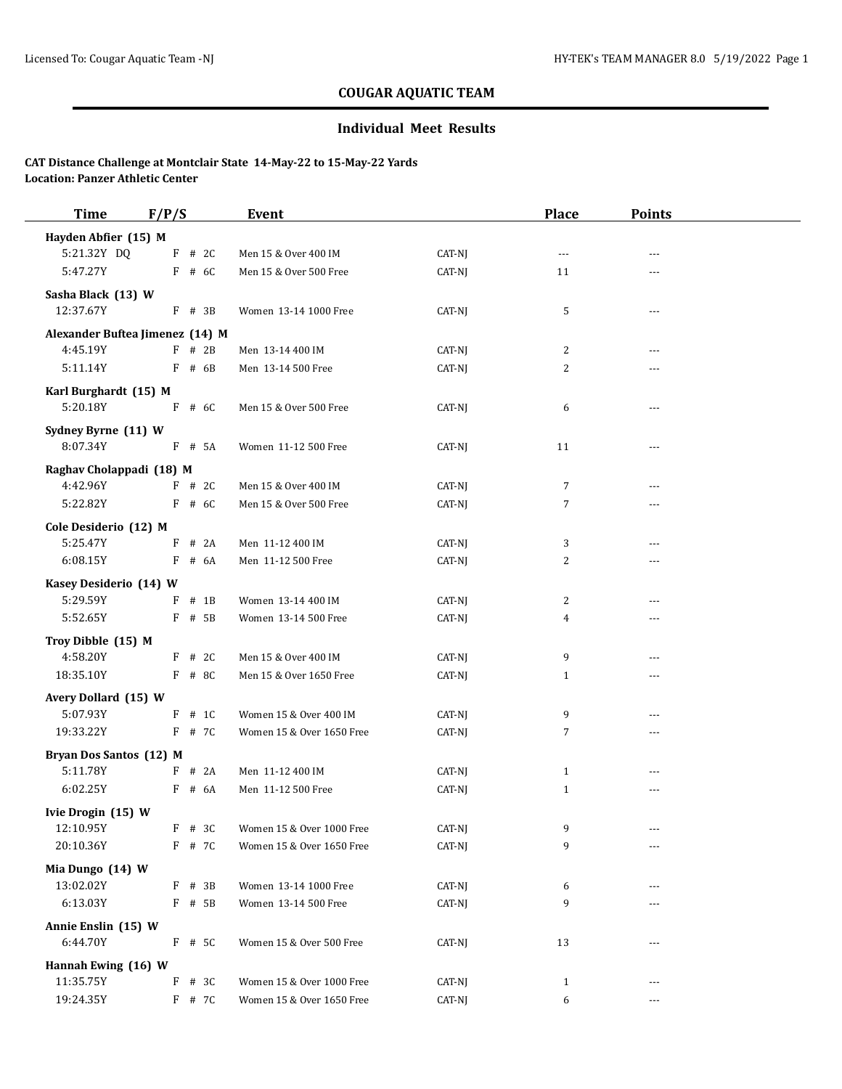## **Individual Meet Results**

| <b>Time</b>                      | F/P/S                           | Event                     |        | <b>Place</b> | <b>Points</b>  |  |
|----------------------------------|---------------------------------|---------------------------|--------|--------------|----------------|--|
| Hayden Abfier (15) M             |                                 |                           |        |              |                |  |
| 5:21.32Y DQ                      | $F$ # 2C                        | Men 15 & Over 400 IM      | CAT-NJ | ---          | $- - -$        |  |
| 5:47.27Y                         | $F$ # 6C                        | Men 15 & Over 500 Free    | CAT-NJ | 11           |                |  |
| Sasha Black (13) W               |                                 |                           |        |              |                |  |
| 12:37.67Y                        | $F$ # 3B                        | Women 13-14 1000 Free     | CAT-NJ | 5            | ---            |  |
|                                  | Alexander Buftea Jimenez (14) M |                           |        |              |                |  |
| 4:45.19Y                         | $F$ # 2B                        | Men 13-14 400 IM          | CAT-NJ | 2            | $\overline{a}$ |  |
| 5:11.14Y                         | $F$ # 6B                        | Men 13-14 500 Free        | CAT-NJ | 2            | $\overline{a}$ |  |
| Karl Burghardt (15) M            |                                 |                           |        |              |                |  |
| 5:20.18Y                         | $F$ # 6C                        | Men 15 & Over 500 Free    | CAT-NJ | 6            | $\overline{a}$ |  |
| Sydney Byrne (11) W              |                                 |                           |        |              |                |  |
| 8:07.34Y                         | $F$ # 5A                        | Women 11-12 500 Free      | CAT-NJ | 11           | ---            |  |
| Raghav Cholappadi (18) M         |                                 |                           |        |              |                |  |
| 4:42.96Y                         | $F$ # 2C                        | Men 15 & Over 400 IM      | CAT-NJ | 7            | ---            |  |
| 5:22.82Y                         | $F$ # 6C                        | Men 15 & Over 500 Free    | CAT-NJ | 7            | ---            |  |
| Cole Desiderio (12) M            |                                 |                           |        |              |                |  |
| 5:25.47Y                         | # 2A<br>F                       | Men 11-12 400 IM          | CAT-NJ | 3            | $- - -$        |  |
| 6:08.15Y                         | F<br># 6A                       | Men 11-12 500 Free        | CAT-NJ | 2            |                |  |
| Kasey Desiderio (14) W           |                                 |                           |        |              |                |  |
| 5:29.59Y                         | F<br>$#$ 1B                     | Women 13-14 400 IM        | CAT-NJ | 2            | ---            |  |
| 5:52.65Y                         | F # 5B                          | Women 13-14 500 Free      | CAT-NJ | 4            | ---            |  |
| Troy Dibble (15) M               |                                 |                           |        |              |                |  |
| 4:58.20Y                         | $F$ # 2C                        | Men 15 & Over 400 IM      | CAT-NJ | 9            | $- - -$        |  |
| 18:35.10Y                        | F # 8C                          | Men 15 & Over 1650 Free   | CAT-NJ | $\mathbf{1}$ | $\overline{a}$ |  |
| Avery Dollard (15) W             |                                 |                           |        |              |                |  |
| 5:07.93Y                         | $F$ # 1C                        | Women 15 & Over 400 IM    | CAT-NJ | 9            | $\overline{a}$ |  |
| 19:33.22Y                        | F # 7C                          | Women 15 & Over 1650 Free | CAT-NJ | 7            | $\overline{a}$ |  |
| Bryan Dos Santos (12) M          |                                 |                           |        |              |                |  |
| 5:11.78Y                         | $F$ # 2A                        | Men 11-12 400 IM          | CAT-NJ | $\mathbf{1}$ | $\overline{a}$ |  |
| 6:02.25Y                         | $F$ # 6A                        | Men 11-12 500 Free        | CAT-NJ | $\mathbf{1}$ | $- - -$        |  |
| Ivie Drogin (15) W               |                                 |                           |        |              |                |  |
| 12:10.95Y                        | $F$ # 3C                        | Women 15 & Over 1000 Free | CAT-NJ | 9            |                |  |
| 20:10.36Y                        | F # 7C                          | Women 15 & Over 1650 Free | CAT-NJ | 9            | ---            |  |
| Mia Dungo (14) W                 |                                 |                           |        |              |                |  |
| 13:02.02Y                        | $F$ # 3B                        | Women 13-14 1000 Free     | CAT-NJ | 6            |                |  |
| 6:13.03Y                         | F # 5B                          | Women 13-14 500 Free      | CAT-NJ | 9            |                |  |
| Annie Enslin (15) W              |                                 |                           |        |              |                |  |
| 6:44.70Y                         | F # 5C                          | Women 15 & Over 500 Free  | CAT-NJ | 13           | $---$          |  |
|                                  |                                 |                           |        |              |                |  |
| Hannah Ewing (16) W<br>11:35.75Y | $F$ # 3C                        | Women 15 & Over 1000 Free | CAT-NJ | $\mathbf{1}$ | ---            |  |
| 19:24.35Y                        | F # 7C                          | Women 15 & Over 1650 Free | CAT-NJ | 6            | ---            |  |
|                                  |                                 |                           |        |              |                |  |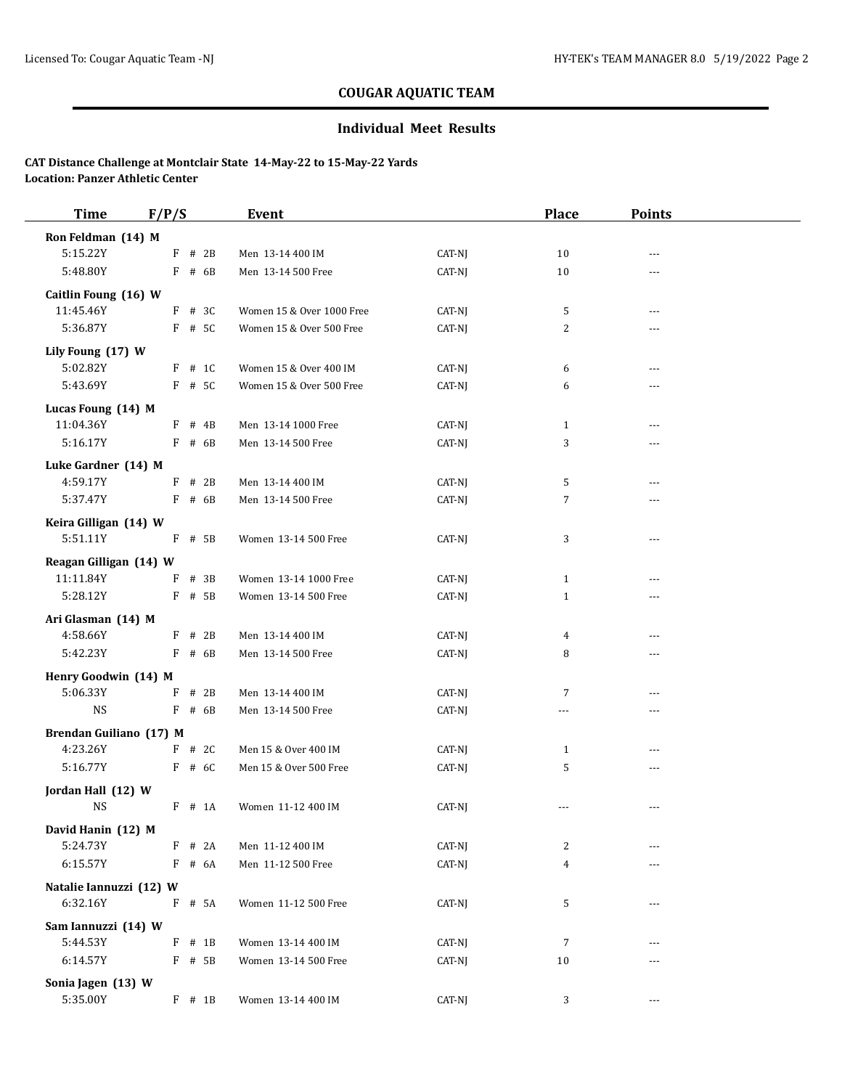## **Individual Meet Results**

| Ron Feldman (14) M<br>5:15.22Y |   |          |                           |        |                |                |  |
|--------------------------------|---|----------|---------------------------|--------|----------------|----------------|--|
|                                |   |          |                           |        |                |                |  |
|                                | F | # 2B     | Men 13-14 400 IM          | CAT-NJ | 10             | ---            |  |
| 5:48.80Y                       |   | $F$ # 6B | Men 13-14 500 Free        | CAT-NJ | 10             |                |  |
| Caitlin Foung (16) W           |   |          |                           |        |                |                |  |
| 11:45.46Y                      |   | $F$ # 3C | Women 15 & Over 1000 Free | CAT-NJ | 5              | ---            |  |
| 5:36.87Y                       |   | F # 5C   | Women 15 & Over 500 Free  | CAT-NJ | 2              | ---            |  |
| Lily Foung (17) W              |   |          |                           |        |                |                |  |
| 5:02.82Y                       |   | $F$ # 1C | Women 15 & Over 400 IM    | CAT-NJ | 6              | $- - -$        |  |
| 5:43.69Y                       |   | F # 5C   | Women 15 & Over 500 Free  | CAT-NJ | 6              | ---            |  |
| Lucas Foung (14) M             |   |          |                           |        |                |                |  |
| 11:04.36Y                      |   | $F$ # 4B | Men 13-14 1000 Free       | CAT-NJ | $\mathbf{1}$   | $\overline{a}$ |  |
| 5:16.17Y                       |   | $F$ # 6B | Men 13-14 500 Free        | CAT-NJ | 3              | ---            |  |
| Luke Gardner (14) M            |   |          |                           |        |                |                |  |
| 4:59.17Y                       |   | $F$ # 2B | Men 13-14 400 IM          | CAT-NJ | 5              | ---            |  |
| 5:37.47Y                       |   | $F$ # 6B | Men 13-14 500 Free        | CAT-NJ | $\sqrt{7}$     | ---            |  |
| Keira Gilligan (14) W          |   |          |                           |        |                |                |  |
| 5:51.11Y                       |   | $F$ # 5B | Women 13-14 500 Free      | CAT-NJ | 3              | $---$          |  |
| Reagan Gilligan (14) W         |   |          |                           |        |                |                |  |
| 11:11.84Y                      | F | # 3B     | Women 13-14 1000 Free     | CAT-NJ | $\mathbf{1}$   | $---$          |  |
| 5:28.12Y                       |   | F # 5B   | Women 13-14 500 Free      | CAT-NJ | $\mathbf{1}$   | ---            |  |
| Ari Glasman (14) M             |   |          |                           |        |                |                |  |
| 4:58.66Y                       |   | $F$ # 2B | Men 13-14 400 IM          | CAT-NJ | $\overline{4}$ | ---            |  |
| 5:42.23Y                       |   | $F$ # 6B | Men 13-14 500 Free        | CAT-NJ | 8              | ---            |  |
| Henry Goodwin (14) M           |   |          |                           |        |                |                |  |
| 5:06.33Y                       | F | # 2B     | Men 13-14 400 IM          | CAT-NJ | $\overline{7}$ | ---            |  |
| <b>NS</b>                      |   | $F$ # 6B | Men 13-14 500 Free        | CAT-NJ | $\overline{a}$ | ---            |  |
| Brendan Guiliano (17) M        |   |          |                           |        |                |                |  |
| 4:23.26Y                       |   | $F$ # 2C | Men 15 & Over 400 IM      | CAT-NJ | $\mathbf{1}$   | $---$          |  |
| 5:16.77Y                       |   | $F$ # 6C | Men 15 & Over 500 Free    | CAT-NJ | 5              | ---            |  |
| Jordan Hall (12) W             |   |          |                           |        |                |                |  |
| <b>NS</b>                      |   | $F$ # 1A | Women 11-12 400 IM        | CAT-NJ | ---            | $---$          |  |
| David Hanin (12) M             |   |          |                           |        |                |                |  |
| 5:24.73Y                       |   | $F$ # 2A | Men 11-12 400 IM          | CAT-NJ | $\overline{c}$ | ---            |  |
| 6:15.57Y                       |   | $F$ # 6A | Men 11-12 500 Free        | CAT-NJ | $\overline{4}$ | ---            |  |
| Natalie Iannuzzi (12) W        |   |          |                           |        |                |                |  |
| 6:32.16Y                       |   | F # 5A   | Women 11-12 500 Free      | CAT-NJ | 5              | ---            |  |
| Sam Iannuzzi (14) W            |   |          |                           |        |                |                |  |
| 5:44.53Y                       |   | $F$ # 1B | Women 13-14 400 IM        | CAT-NJ | $\overline{7}$ |                |  |
| 6:14.57Y                       |   | F # 5B   | Women 13-14 500 Free      | CAT-NJ | 10             | ---            |  |
| Sonia Jagen (13) W             |   |          |                           |        |                |                |  |
| 5:35.00Y                       |   | $F$ # 1B | Women 13-14 400 IM        | CAT-NJ | 3              | ---            |  |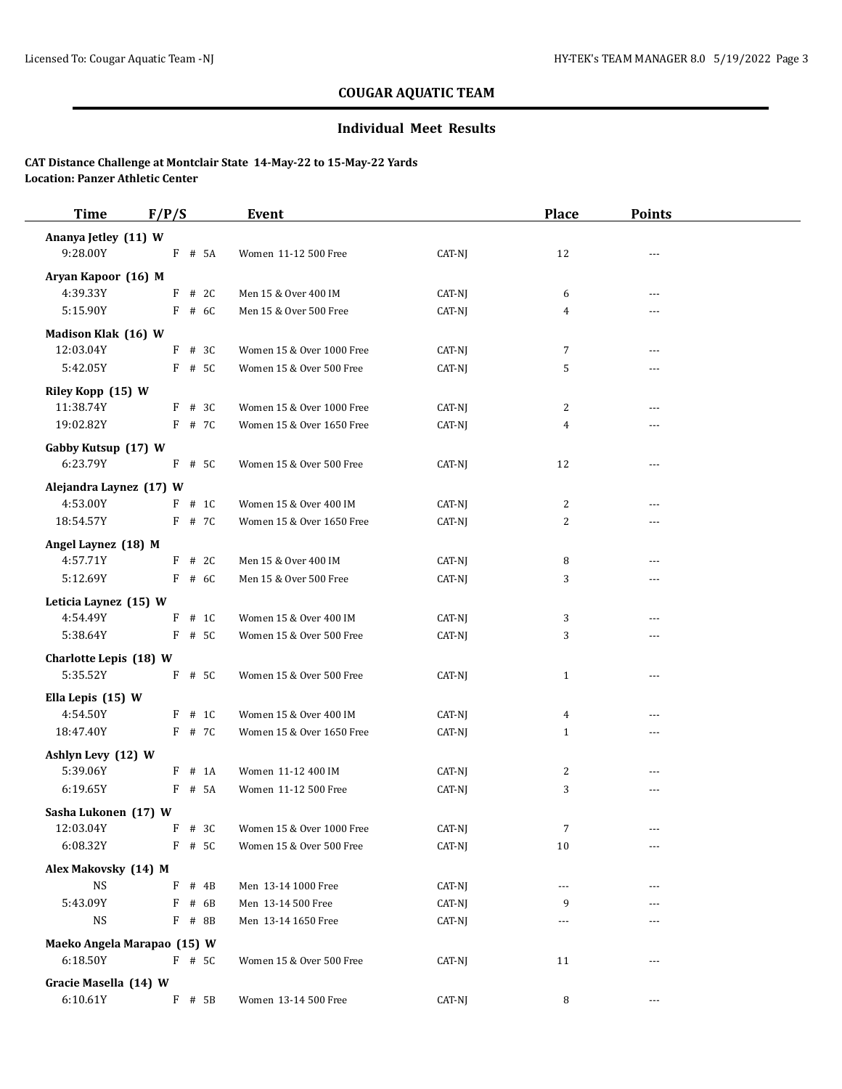## **Individual Meet Results**

| <b>Time</b>                                                                         | F/P/S                                    | Event                                     |                            | <b>Place</b>   | <b>Points</b>  |  |
|-------------------------------------------------------------------------------------|------------------------------------------|-------------------------------------------|----------------------------|----------------|----------------|--|
| Ananya Jetley (11) W                                                                |                                          |                                           |                            |                |                |  |
| 9:28.00Y                                                                            | F # 5A                                   | Women 11-12 500 Free                      | CAT-NJ                     | 12             |                |  |
| Aryan Kapoor (16) M                                                                 |                                          |                                           |                            |                |                |  |
| 4:39.33Y                                                                            | # 2C<br>F                                | Men 15 & Over 400 IM                      | CAT-NJ                     | 6              | ---            |  |
| 5:15.90Y                                                                            | $F$ # 6C                                 | Men 15 & Over 500 Free                    | CAT-NJ                     | 4              | ---            |  |
|                                                                                     |                                          |                                           |                            |                |                |  |
| Madison Klak (16) W<br>12:03.04Y                                                    | $F$ # 3C                                 | Women 15 & Over 1000 Free                 | CAT-NJ                     | 7              | ---            |  |
| 5:42.05Y                                                                            | F # 5C                                   | Women 15 & Over 500 Free                  | CAT-NJ                     | 5              | ---            |  |
|                                                                                     |                                          |                                           |                            |                |                |  |
| Riley Kopp (15) W                                                                   |                                          |                                           |                            |                |                |  |
| 11:38.74Y                                                                           | $F$ # 3C                                 | Women 15 & Over 1000 Free                 | $CAT-NJ$                   | 2              | $\overline{a}$ |  |
| 19:02.82Y                                                                           | $F$ # 7C                                 | Women 15 & Over 1650 Free                 | CAT-NJ                     | 4              | ---            |  |
| Gabby Kutsup (17) W                                                                 |                                          |                                           |                            |                |                |  |
| 6:23.79Y                                                                            | F # 5C                                   | Women 15 & Over 500 Free                  | CAT-NJ                     | 12             | ---            |  |
| Alejandra Laynez (17) W                                                             |                                          |                                           |                            |                |                |  |
| 4:53.00Y                                                                            | $F$ # 1C                                 | Women 15 & Over 400 IM                    | CAT-NJ                     | 2              | $---$          |  |
| 18:54.57Y                                                                           | F # 7C                                   | Women 15 & Over 1650 Free                 | CAT-NJ                     | 2              | ---            |  |
| Angel Laynez (18) M                                                                 |                                          |                                           |                            |                |                |  |
| 4:57.71Y                                                                            | $F$ # 2C                                 | Men 15 & Over 400 IM                      | CAT-NJ                     | 8              | $\overline{a}$ |  |
| 5:12.69Y                                                                            | $F$ # 6C                                 | Men 15 & Over 500 Free                    | CAT-NJ                     | 3              | ---            |  |
|                                                                                     |                                          |                                           |                            |                |                |  |
| Leticia Laynez (15) W                                                               |                                          |                                           |                            |                |                |  |
| 4:54.49Y                                                                            | $F$ # 1C                                 | Women 15 & Over 400 IM                    | CAT-NJ                     | 3              | $---$          |  |
| 5:38.64Y                                                                            | F # 5C                                   | Women 15 & Over 500 Free                  | CAT-NJ                     | 3              | ---            |  |
| Charlotte Lepis (18) W                                                              |                                          |                                           |                            |                |                |  |
| 5:35.52Y                                                                            | F # 5C                                   | Women 15 & Over 500 Free                  | CAT-NJ                     | $\mathbf{1}$   | $\overline{a}$ |  |
| Ella Lepis (15) W                                                                   |                                          |                                           |                            |                |                |  |
| 4:54.50Y                                                                            | $F$ # 1C                                 | Women 15 & Over 400 IM                    | CAT-NJ                     | $\overline{4}$ | $---$          |  |
| 18:47.40Y                                                                           | F # 7C                                   | Women 15 & Over 1650 Free                 | CAT-NJ                     | $\mathbf{1}$   | ---            |  |
| Ashlyn Levy (12) W                                                                  |                                          |                                           |                            |                |                |  |
| 5:39.06Y                                                                            | $#$ 1A<br>F                              | Women 11-12 400 IM                        | CAT-NJ                     | $\overline{2}$ | $---$          |  |
| 6:19.65Y                                                                            | F # 5A                                   | Women 11-12 500 Free                      | CAT-NJ                     | 3              | $---$          |  |
|                                                                                     |                                          |                                           |                            |                |                |  |
| Sasha Lukonen (17) W                                                                | F # 3C                                   | Women 15 & Over 1000 Free                 |                            | $\overline{7}$ |                |  |
| 12:03.04Y                                                                           |                                          |                                           | CAT-NJ                     |                |                |  |
| 6:08.32Y                                                                            | F # 5C                                   | Women 15 & Over 500 Free                  | CAT-NJ                     | $10\,$         | ---            |  |
|                                                                                     |                                          |                                           |                            |                |                |  |
|                                                                                     |                                          |                                           |                            | ---            |                |  |
|                                                                                     |                                          |                                           |                            |                |                |  |
|                                                                                     |                                          | Men 13-14 1650 Free                       |                            | ---            | ---            |  |
|                                                                                     | Maeko Angela Marapao (15) W              |                                           |                            |                |                |  |
| 6:18.50Y                                                                            | F # 5C                                   | Women 15 & Over 500 Free                  | CAT-NJ                     | 11             | ---            |  |
|                                                                                     |                                          |                                           |                            |                |                |  |
| 6:10.61Y                                                                            |                                          | Women 13-14 500 Free                      | CAT-NJ                     | 8              | $\cdots$       |  |
| Alex Makovsky (14) M<br><b>NS</b><br>5:43.09Y<br><b>NS</b><br>Gracie Masella (14) W | $F$ # 4B<br>$F$ # 6B<br>F # 8B<br>F # 5B | Men 13-14 1000 Free<br>Men 13-14 500 Free | CAT-NJ<br>CAT-NJ<br>CAT-NJ | 9              |                |  |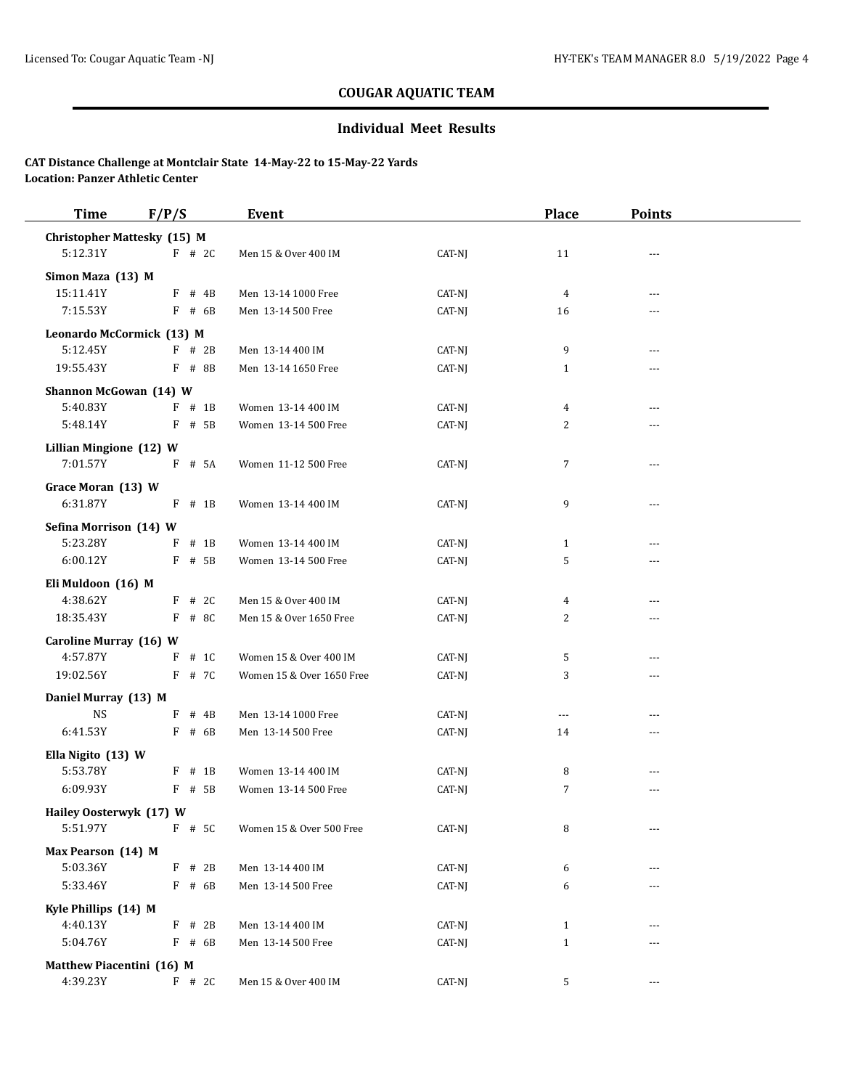## **Individual Meet Results**

| <b>Time</b>                        | F/P/S       | Event                     |        | <b>Place</b>   | <b>Points</b> |  |
|------------------------------------|-------------|---------------------------|--------|----------------|---------------|--|
| <b>Christopher Mattesky (15) M</b> |             |                           |        |                |               |  |
| 5:12.31Y                           | $F$ # 2C    | Men 15 & Over 400 IM      | CAT-NJ | 11             | ---           |  |
| Simon Maza (13) M                  |             |                           |        |                |               |  |
| 15:11.41Y                          | $F$ # 4B    | Men 13-14 1000 Free       | CAT-NJ | $\overline{4}$ | ---           |  |
| 7:15.53Y                           | $F$ # 6B    | Men 13-14 500 Free        | CAT-NJ | 16             | ---           |  |
| Leonardo McCormick (13) M          |             |                           |        |                |               |  |
| 5:12.45Y                           | $F$ # 2B    | Men 13-14 400 IM          | CAT-NJ | 9              | ---           |  |
| 19:55.43Y                          | F # 8B      | Men 13-14 1650 Free       | CAT-NJ | $\mathbf{1}$   | ---           |  |
| Shannon McGowan (14) W             |             |                           |        |                |               |  |
| 5:40.83Y                           | $F$ # 1B    | Women 13-14 400 IM        | CAT-NJ | 4              | ---           |  |
| 5:48.14Y                           | F # 5B      | Women 13-14 500 Free      | CAT-NJ | 2              | ---           |  |
| Lillian Mingione (12) W            |             |                           |        |                |               |  |
| 7:01.57Y                           | F # 5A      | Women 11-12 500 Free      | CAT-NJ | $\sqrt{ }$     | ---           |  |
|                                    |             |                           |        |                |               |  |
| Grace Moran (13) W<br>6:31.87Y     | $F$ # 1B    | Women 13-14 400 IM        | CAT-NJ | 9              | $- - -$       |  |
|                                    |             |                           |        |                |               |  |
| Sefina Morrison (14) W             |             |                           |        |                |               |  |
| 5:23.28Y                           | $#$ 1B<br>F | Women 13-14 400 IM        | CAT-NJ | $\mathbf{1}$   | ---           |  |
| 6:00.12Y                           | $F$ # 5B    | Women 13-14 500 Free      | CAT-NJ | 5              |               |  |
| Eli Muldoon (16) M                 |             |                           |        |                |               |  |
| 4:38.62Y                           | $F$ # 2C    | Men 15 & Over 400 IM      | CAT-NJ | 4              | ---           |  |
| 18:35.43Y                          | F # 8C      | Men 15 & Over 1650 Free   | CAT-NJ | 2              | ---           |  |
| Caroline Murray (16) W             |             |                           |        |                |               |  |
| 4:57.87Y                           | F<br># 1C   | Women 15 & Over 400 IM    | CAT-NJ | 5              | $- - -$       |  |
| 19:02.56Y                          | F # 7C      | Women 15 & Over 1650 Free | CAT-NJ | 3              | ---           |  |
| Daniel Murray (13) M               |             |                           |        |                |               |  |
| <b>NS</b>                          | $F$ # 4B    | Men 13-14 1000 Free       | CAT-NJ | $\overline{a}$ | ---           |  |
| 6:41.53Y                           | $F$ # 6B    | Men 13-14 500 Free        | CAT-NJ | 14             | ---           |  |
| Ella Nigito (13) W                 |             |                           |        |                |               |  |
| 5:53.78Y                           | $F$ # 1B    | Women 13-14 400 IM        | CAT-NJ | 8              | ---           |  |
| 6:09.93Y                           | F # 5B      | Women 13-14 500 Free      | CAT-NJ | $\overline{7}$ | ---           |  |
| Hailey Oosterwyk (17) W            |             |                           |        |                |               |  |
| 5:51.97Y                           | F # 5C      | Women 15 & Over 500 Free  | CAT-NJ | 8              | ---           |  |
| Max Pearson (14) M                 |             |                           |        |                |               |  |
| 5:03.36Y                           | $F$ # 2B    | Men 13-14 400 IM          | CAT-NJ | 6              |               |  |
| 5:33.46Y                           | F # 6B      | Men 13-14 500 Free        | CAT-NJ | 6              |               |  |
|                                    |             |                           |        |                |               |  |
| Kyle Phillips (14) M<br>4:40.13Y   | $F$ # 2B    | Men 13-14 400 IM          | CAT-NJ | $\mathbf{1}$   |               |  |
| 5:04.76Y                           | $F$ # 6B    | Men 13-14 500 Free        | CAT-NJ | $\mathbf{1}$   | ---           |  |
|                                    |             |                           |        |                |               |  |
| Matthew Piacentini (16) M          |             |                           |        |                |               |  |
| 4:39.23Y                           | $F$ # 2C    | Men 15 & Over 400 IM      | CAT-NJ | 5              | $---$         |  |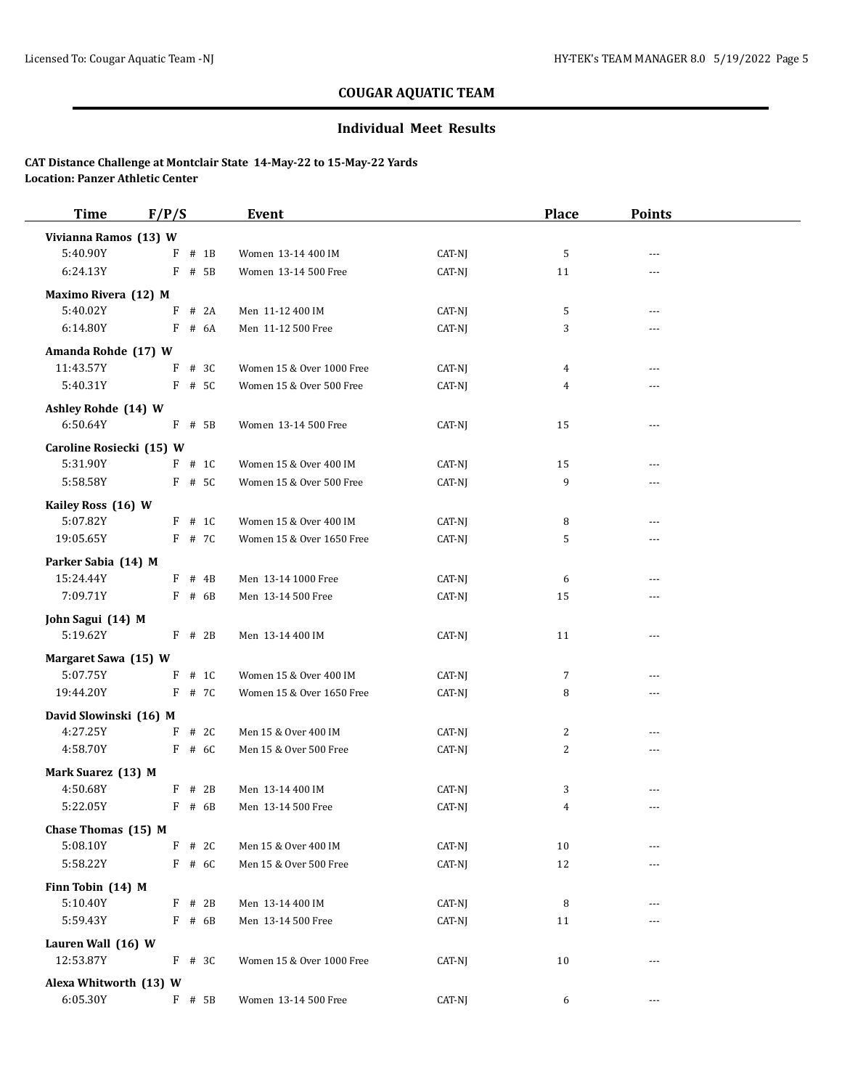## **Individual Meet Results**

| <b>Time</b>                        | F/P/S       | Event                     |                  | <b>Place</b>   | <b>Points</b>  |  |
|------------------------------------|-------------|---------------------------|------------------|----------------|----------------|--|
| Vivianna Ramos (13) W              |             |                           |                  |                |                |  |
| 5:40.90Y                           | $#$ 1B<br>F | Women 13-14 400 IM        | CAT-NJ           | 5              | $\sim$ $\sim$  |  |
| 6:24.13Y                           | F<br># 5B   | Women 13-14 500 Free      | CAT-NJ           | 11             | $- - -$        |  |
| Maximo Rivera (12) M               |             |                           |                  |                |                |  |
| 5:40.02Y                           | # 2A<br>F   | Men 11-12 400 IM          | CAT-NJ           | 5              | $---$          |  |
| 6:14.80Y                           | F<br># 6A   | Men 11-12 500 Free        | CAT-NJ           | 3              | $\overline{a}$ |  |
| Amanda Rohde (17) W                |             |                           |                  |                |                |  |
| 11:43.57Y                          | F<br># 3C   | Women 15 & Over 1000 Free | CAT-NJ           | 4              | $- - -$        |  |
| 5:40.31Y                           | $F$ # 5C    | Women 15 & Over 500 Free  | CAT-NJ           | 4              | ---            |  |
| Ashley Rohde (14) W                |             |                           |                  |                |                |  |
| 6:50.64Y                           | $F$ # 5B    | Women 13-14 500 Free      | CAT-NJ           | 15             | ---            |  |
| Caroline Rosiecki (15) W           |             |                           |                  |                |                |  |
| 5:31.90Y                           | $F$ # 1C    | Women 15 & Over 400 IM    | CAT-NJ           | 15             | $- - -$        |  |
| 5:58.58Y                           | F # 5C      | Women 15 & Over 500 Free  | CAT-NJ           | 9              | $\overline{a}$ |  |
| Kailey Ross (16) W                 |             |                           |                  |                |                |  |
| 5:07.82Y                           | $F$ # 1C    | Women 15 & Over 400 IM    | CAT-NJ           | 8              | $- - -$        |  |
| 19:05.65Y                          | F # 7C      | Women 15 & Over 1650 Free | CAT-NJ           | 5              | $\overline{a}$ |  |
| Parker Sabia (14) M                |             |                           |                  |                |                |  |
| 15:24.44Y                          | $F$ # 4B    | Men 13-14 1000 Free       | CAT-NJ           | 6              | $- - -$        |  |
| 7:09.71Y                           | $F$ # 6B    | Men 13-14 500 Free        | CAT-NJ           | 15             | ---            |  |
| John Sagui (14) M                  |             |                           |                  |                |                |  |
| 5:19.62Y                           | $F$ # 2B    | Men 13-14 400 IM          | CAT-NJ           | 11             | $\overline{a}$ |  |
|                                    |             |                           |                  |                |                |  |
| Margaret Sawa (15) W<br>5:07.75Y   | # 1C<br>F   | Women 15 & Over 400 IM    | CAT-NJ           | 7              | $- - -$        |  |
| 19:44.20Y                          | F # 7C      | Women 15 & Over 1650 Free | CAT-NJ           | 8              | ---            |  |
|                                    |             |                           |                  |                |                |  |
| David Slowinski (16) M<br>4:27.25Y | F<br># 2C   | Men 15 & Over 400 IM      |                  | $\overline{c}$ | $---$          |  |
| 4:58.70Y                           | $F$ # 6C    | Men 15 & Over 500 Free    | CAT-NJ<br>CAT-NJ | 2              | $\overline{a}$ |  |
|                                    |             |                           |                  |                |                |  |
| Mark Suarez (13) M                 |             |                           |                  |                |                |  |
| 4:50.68Y                           | $F$ # 2B    | Men 13-14 400 IM          | CAT-NJ           | 3              | $- - -$        |  |
| 5:22.05Y                           | $F$ # 6B    | Men 13-14 500 Free        | CAT-NJ           | 4              | $\overline{a}$ |  |
| Chase Thomas (15) M                |             |                           |                  |                |                |  |
| 5:08.10Y                           | F<br># 2C   | Men 15 & Over 400 IM      | CAT-NJ           | 10             |                |  |
| 5:58.22Y                           | F # 6C      | Men 15 & Over 500 Free    | CAT-NJ           | 12             |                |  |
| Finn Tobin (14) M                  |             |                           |                  |                |                |  |
| 5:10.40Y                           | $F$ # 2B    | Men 13-14 400 IM          | CAT-NJ           | 8              |                |  |
| 5:59.43Y                           | $F$ # 6B    | Men 13-14 500 Free        | CAT-NJ           | 11             | ---            |  |
| Lauren Wall (16) W                 |             |                           |                  |                |                |  |
| 12:53.87Y                          | $F$ # 3C    | Women 15 & Over 1000 Free | CAT-NJ           | 10             | $- - -$        |  |
| Alexa Whitworth (13) W             |             |                           |                  |                |                |  |
| 6:05.30Y                           | $F$ # 5B    | Women 13-14 500 Free      | CAT-NJ           | 6              | $\cdots$       |  |